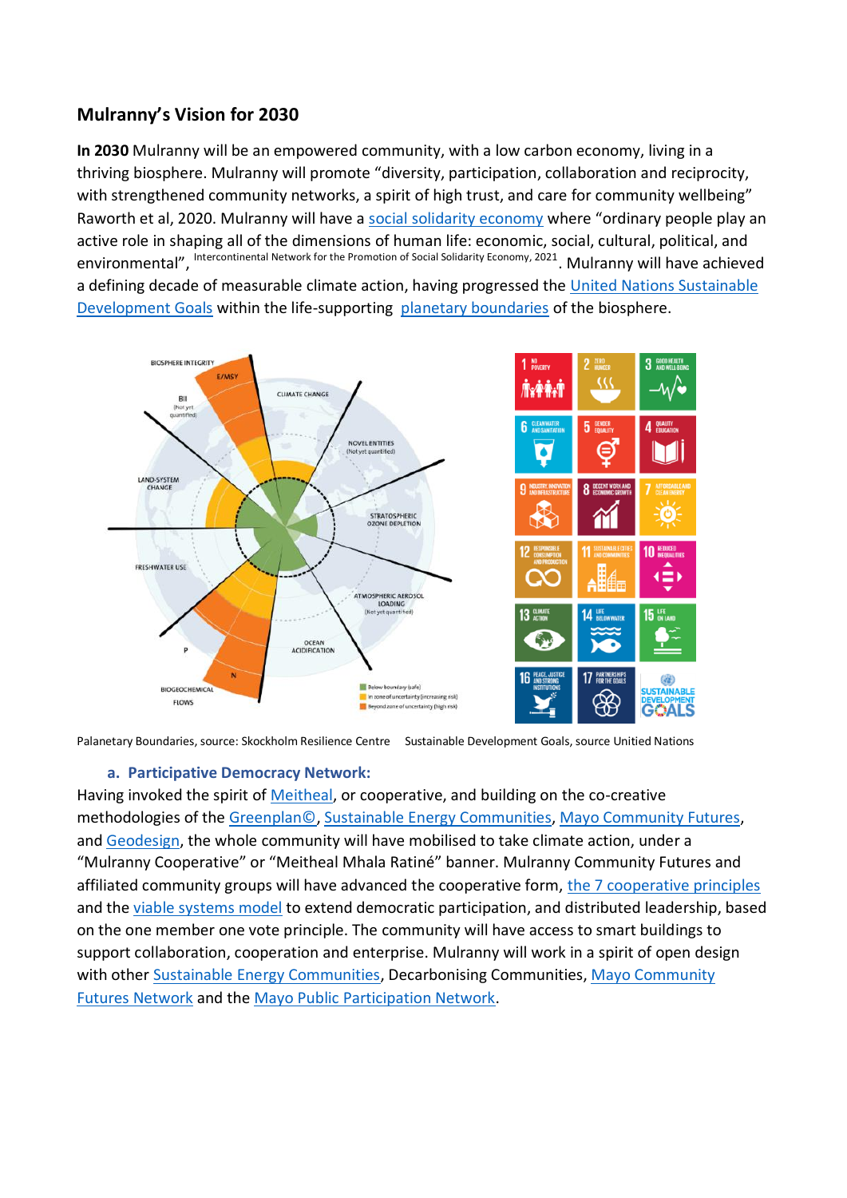# **Mulranny's Vision for 2030**

**In 2030** Mulranny will be an empowered community, with a low carbon economy, living in a thriving biosphere. Mulranny will promote "diversity, participation, collaboration and reciprocity, with strengthened community networks, a spirit of high trust, and care for community wellbeing" Raworth et al, 2020. Mulranny will have a [social solidarity economy](http://www.ripess.org/what-is-sse/what-is-social-solidarity-economy/?lang=en) where "ordinary people play an active role in shaping all of the dimensions of human life: economic, social, cultural, political, and environmental", Intercontinental Network for the Promotion of Social Solidarity Economy, 2021. Mulranny will have achieved a defining decade of measurable climate action, having progressed the [United Nations Sustainable](https://sdgs.un.org/goals)  [Development Goals](https://sdgs.un.org/goals) within the life-supporting [planetary boundaries](https://www.nature.com/articles/461472a) of the biosphere.



Palanetary Boundaries, source: Skockholm Resilience Centre Sustainable Development Goals, source Unitied Nations

#### **a. Participative Democracy Network:**

Having invoked the spirit of [Meitheal,](http://www.maryrobinsoncentre.ie/meitheal.html) or cooperative, and building on the co-creative methodologies of the [Greenplan©,](http://thegreenplan.ie/the-seven-themes) [Sustainable Energy Communities,](https://www.seai.ie/community-energy/sustainable-energy-communities/sec-map/) [Mayo Community Futures,](https://www.mayo.ie/community/participation/community-futures) and [Geodesign,](https://www.geodesignhub.com/) the whole community will have mobilised to take climate action, under a "Mulranny Cooperative" or "Meitheal Mhala Ratiné" banner. Mulranny Community Futures and affiliated community groups will have advanced the cooperative form, [the 7 cooperative principles](https://www.ica.coop/en/cooperatives/cooperative-identity) and the [viable systems model](https://www.esrad.org.uk/resources/vsmg_3/screen.php?page=introduction) to extend democratic participation, and distributed leadership, based on the one member one vote principle. The community will have access to smart buildings to support collaboration, cooperation and enterprise. Mulranny will work in a spirit of open design with other [Sustainable Energy Communities,](https://www.seai.ie/community-energy/sustainable-energy-communities/sec-map/) Decarbonising Communities, Mayo Community [Futures Network](https://www.mayo.ie/community/participation/community-futures) and the [Mayo Public Participation Network.](https://mayoppn.ie/duncan-stewart-on-mayoppn-goes-green-2/)